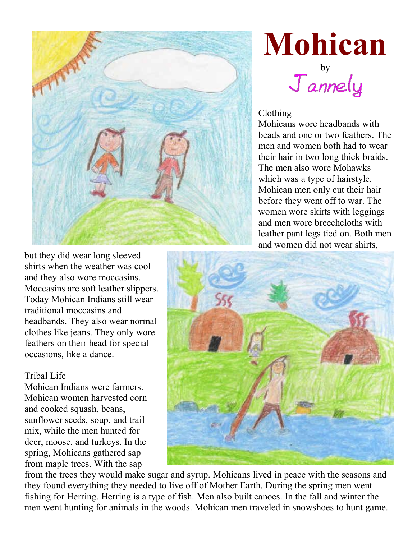

## **Mohican**

 $J$ annely

## Clothing

Mohicans wore headbands with beads and one or two feathers. The men and women both had to wear their hair in two long thick braids. The men also wore Mohawks which was a type of hairstyle. Mohican men only cut their hair before they went off to war. The women wore skirts with leggings and men wore breechcloths with leather pant legs tied on. Both men and women did not wear shirts,

but they did wear long sleeved shirts when the weather was cool and they also wore moccasins. Moccasins are soft leather slippers. Today Mohican Indians still wear traditional moccasins and headbands. They also wear normal clothes like jeans. They only wore feathers on their head for special occasions, like a dance.

## Tribal Life

Mohican Indians were farmers. Mohican women harvested corn and cooked squash, beans, sunflower seeds, soup, and trail mix, while the men hunted for deer, moose, and turkeys. In the spring, Mohicans gathered sap from maple trees. With the sap



from the trees they would make sugar and syrup. Mohicans lived in peace with the seasons and they found everything they needed to live off of Mother Earth. During the spring men went fishing for Herring. Herring is a type of fish. Men also built canoes. In the fall and winter the men went hunting for animals in the woods. Mohican men traveled in snowshoes to hunt game.